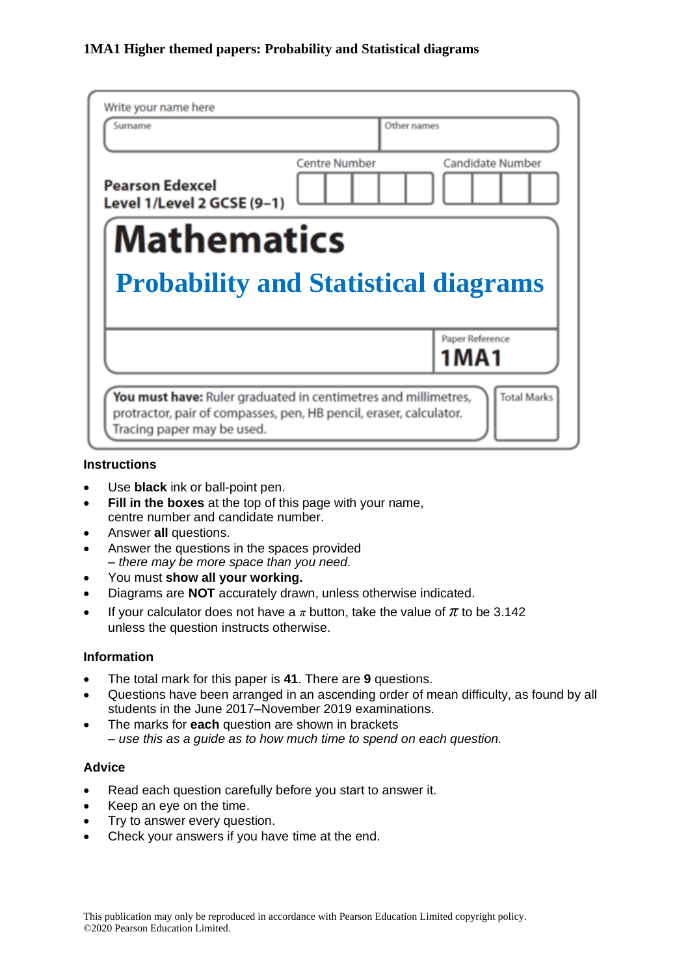| Surname                                                           |                      | Other names             |
|-------------------------------------------------------------------|----------------------|-------------------------|
| <b>Pearson Edexcel</b><br>Level 1/Level 2 GCSE (9-1)              | <b>Centre Number</b> | <b>Candidate Number</b> |
| <b>Mathematics</b><br><b>Probability and Statistical diagrams</b> |                      |                         |
|                                                                   |                      |                         |
|                                                                   |                      | Paper Reference<br>1MA1 |

#### **Instructions**

- Use **black** ink or ball-point pen.
- **Fill in the boxes** at the top of this page with your name, centre number and candidate number.
- Answer **all** questions.
- Answer the questions in the spaces provided *– there may be more space than you need.*
- You must **show all your working.**
- Diagrams are **NOT** accurately drawn, unless otherwise indicated.
- If your calculator does not have a  $\pi$  button, take the value of  $\pi$  to be 3.142 unless the question instructs otherwise.

#### **Information**

- The total mark for this paper is **41**. There are **9** questions.
- Questions have been arranged in an ascending order of mean difficulty, as found by all students in the June 2017–November 2019 examinations.
- The marks for **each** question are shown in brackets *– use this as a guide as to how much time to spend on each question.*

#### **Advice**

- Read each question carefully before you start to answer it.
- Keep an eye on the time.
- Try to answer every question.
- Check your answers if you have time at the end.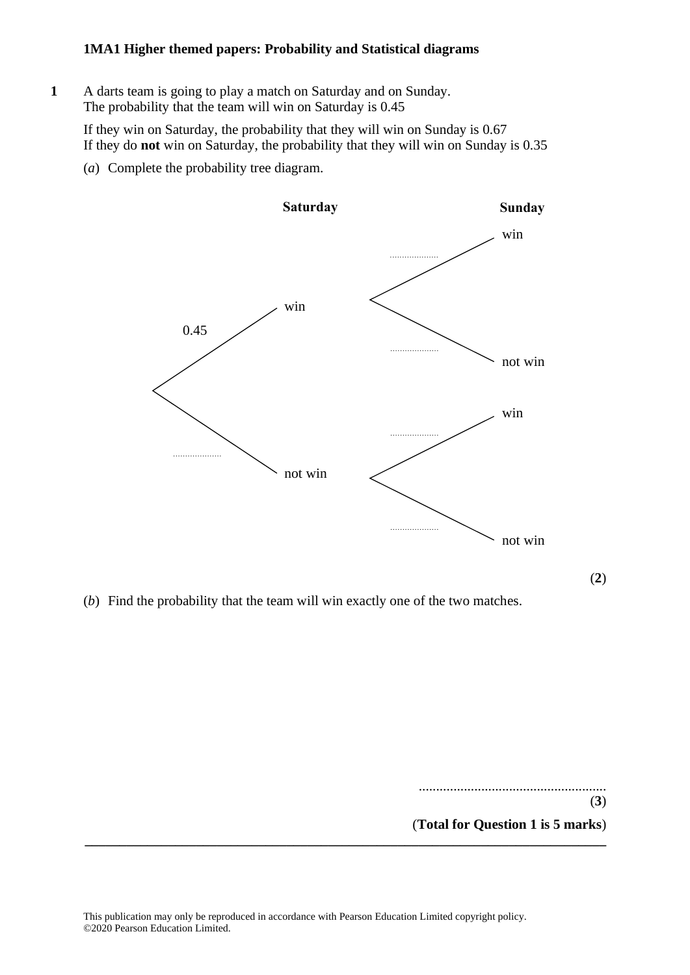**1** A darts team is going to play a match on Saturday and on Sunday. The probability that the team will win on Saturday is 0.45 A darts team is going to play a match on Saturday and on S

If they win on Saturday, the probability that they will win on Sunday is 0.67 If they win on Saturday, the probability that they will win on Sunday is 0.67 If they do **not** win on Saturday, the probability that they will win on Sunday is 0.35 If they do **not** win on Saturday, the probability that they will win on Sunday is 0.35

(*a*) Complete the probability tree diagram. (a) Complete the probability tree diagram.



(*b*) Find the probability that the team will win exactly one of the two matches. (b) Find the probability that the team will win exactly one of the two matches.

...................................................... (**3**) (**Total for Question 1 is 5 marks**) **\_\_\_\_\_\_\_\_\_\_\_\_\_\_\_\_\_\_\_\_\_\_\_\_\_\_\_\_\_\_\_\_\_\_\_\_\_\_\_\_\_\_\_\_\_\_\_\_\_\_\_\_\_\_\_\_\_\_\_\_\_\_\_\_\_\_\_\_\_\_\_\_\_\_\_**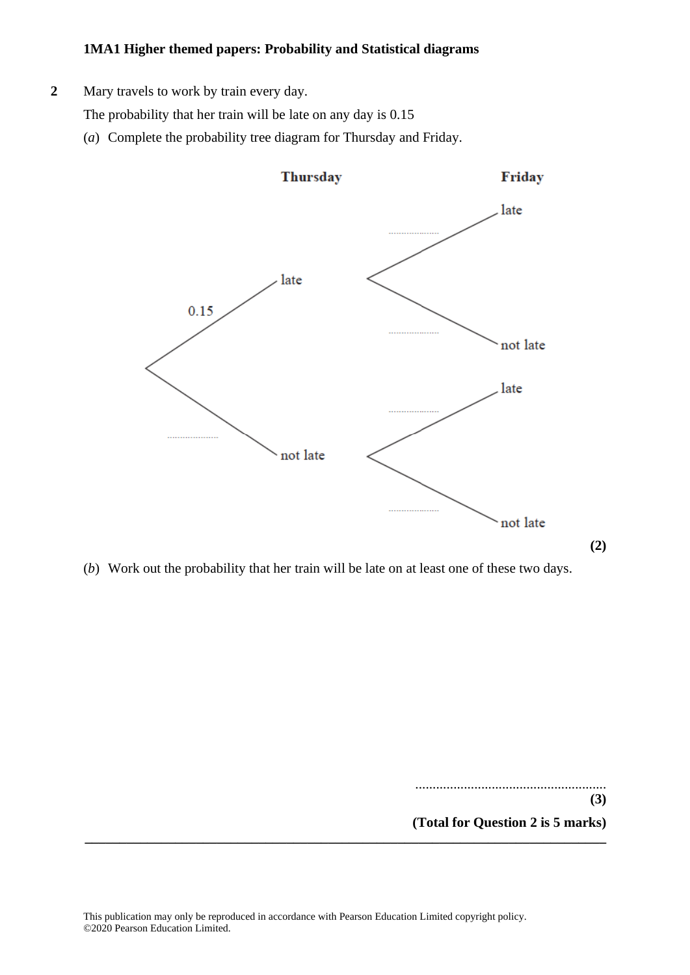- **2** Mary travels to work by train every day.
	- The probability that her train will be late on any day is 0.15
	- (*a*) Complete the probability tree diagram for Thursday and Friday.



(*b*) Work out the probability that her train will be late on at least one of these two days.

....................................................... **(3) (Total for Question 2 is 5 marks) \_\_\_\_\_\_\_\_\_\_\_\_\_\_\_\_\_\_\_\_\_\_\_\_\_\_\_\_\_\_\_\_\_\_\_\_\_\_\_\_\_\_\_\_\_\_\_\_\_\_\_\_\_\_\_\_\_\_\_\_\_\_\_\_\_\_\_\_\_\_\_\_\_\_\_**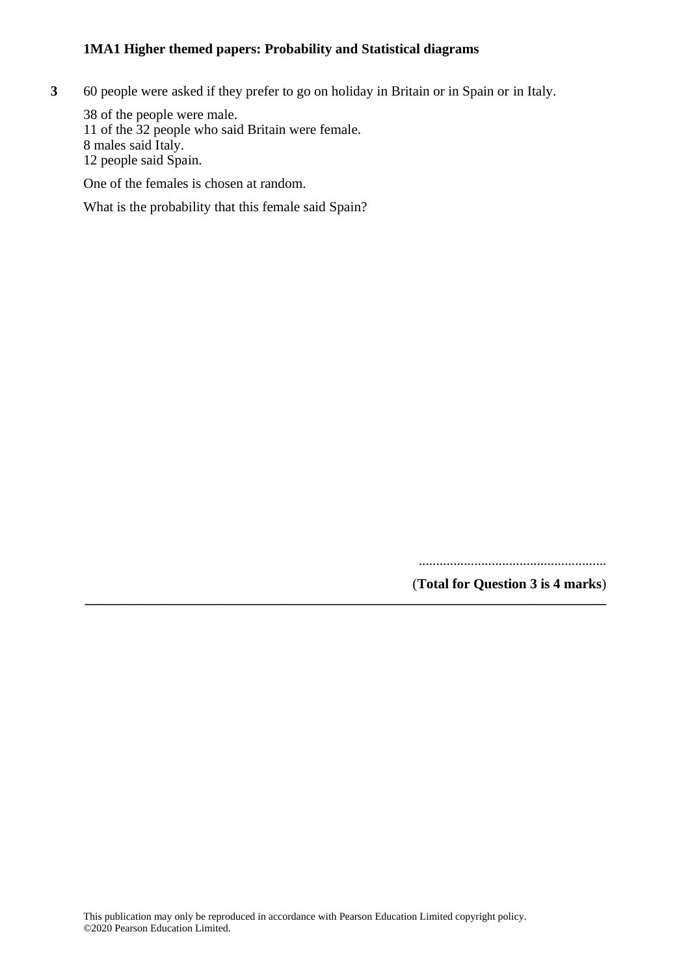**3** 60 people were asked if they prefer to go on holiday in Britain or in Spain or in Italy.

38 of the people were male. 11 of the 32 people who said Britain were female. 8 males said Italy. 12 people said Spain.

One of the females is chosen at random.

What is the probability that this female said Spain?

......................................................

(**Total for Question 3 is 4 marks**) **\_\_\_\_\_\_\_\_\_\_\_\_\_\_\_\_\_\_\_\_\_\_\_\_\_\_\_\_\_\_\_\_\_\_\_\_\_\_\_\_\_\_\_\_\_\_\_\_\_\_\_\_\_\_\_\_\_\_\_\_\_\_\_\_\_\_\_\_\_\_\_\_\_\_\_**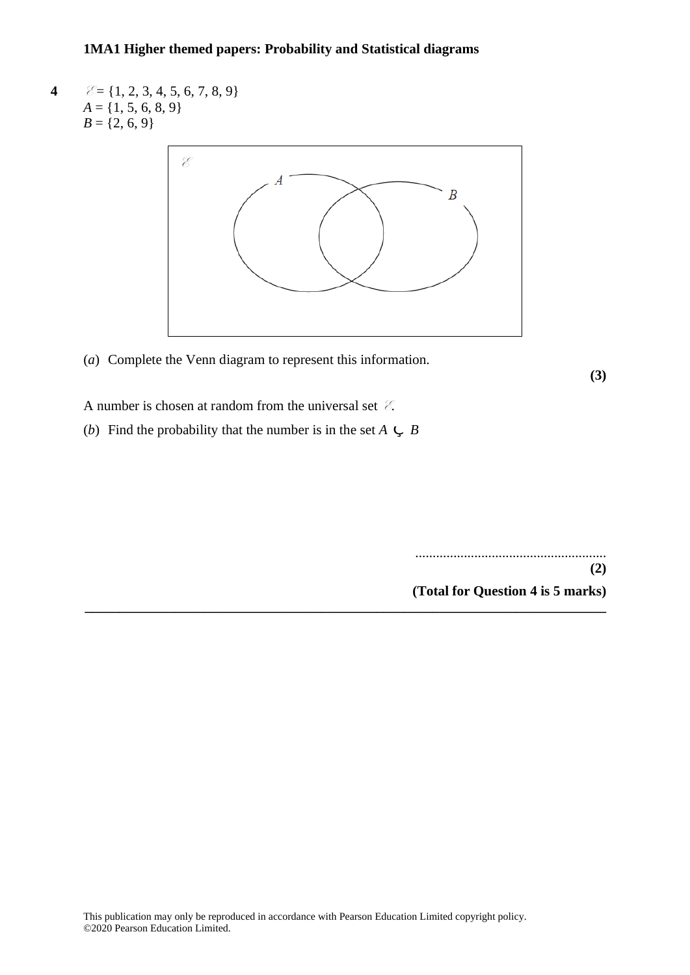**4**  $\mathscr{E} = \{1, 2, 3, 4, 5, 6, 7, 8, 9\}$  $A = \{1, 5, 6, 8, 9\}$  $B = \{2, 6, 9\}$ 



**\_\_\_\_\_\_\_\_\_\_\_\_\_\_\_\_\_\_\_\_\_\_\_\_\_\_\_\_\_\_\_\_\_\_\_\_\_\_\_\_\_\_\_\_\_\_\_\_\_\_\_\_\_\_\_\_\_\_\_\_\_\_\_\_\_\_\_\_\_\_\_\_\_\_\_**

(*a*) Complete the Venn diagram to represent this information.

**(3)**

A number is chosen at random from the universal set  $\mathcal{E}$ .

(*b*) Find the probability that the number is in the set  $A \subseteq B$ 

....................................................... **(2) (Total for Question 4 is 5 marks)**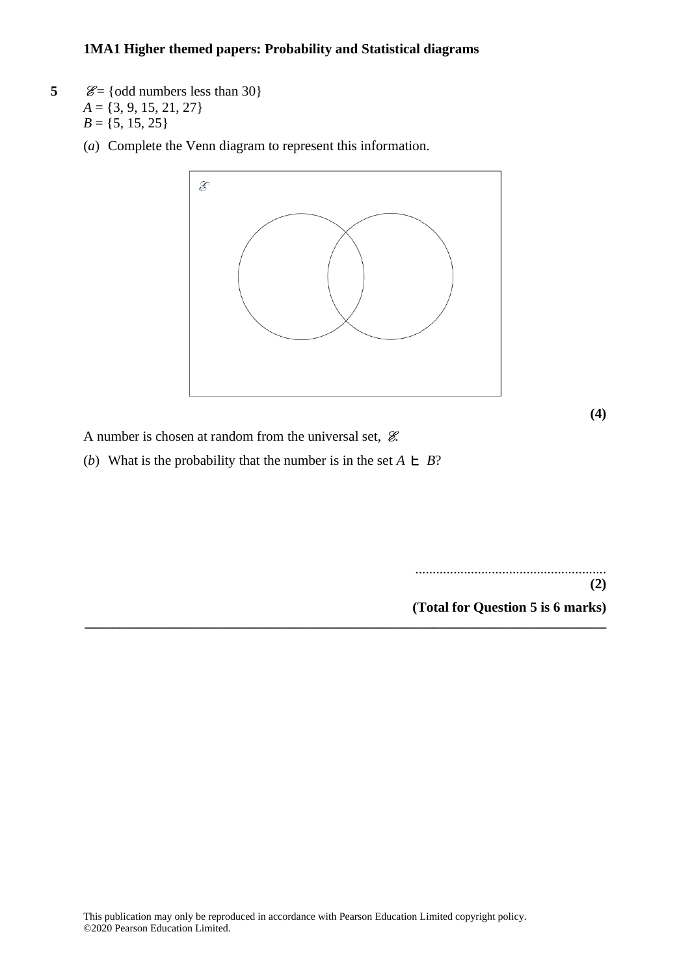- **5**  $\mathcal{E} = \{odd \text{ numbers less than } 30\}$  $A = \{3, 9, 15, 21, 27\}$  $B = \{5, 15, 25\}$ 
	- (*a*) Complete the Venn diagram to represent this information.



**\_\_\_\_\_\_\_\_\_\_\_\_\_\_\_\_\_\_\_\_\_\_\_\_\_\_\_\_\_\_\_\_\_\_\_\_\_\_\_\_\_\_\_\_\_\_\_\_\_\_\_\_\_\_\_\_\_\_\_\_\_\_\_\_\_\_\_\_\_\_\_\_\_\_\_**

**(4)**

A number is chosen at random from the universal set,  $\mathcal{E}$ .

(*b*) What is the probability that the number is in the set  $A \n\in B$ ?

....................................................... **(2) (Total for Question 5 is 6 marks)**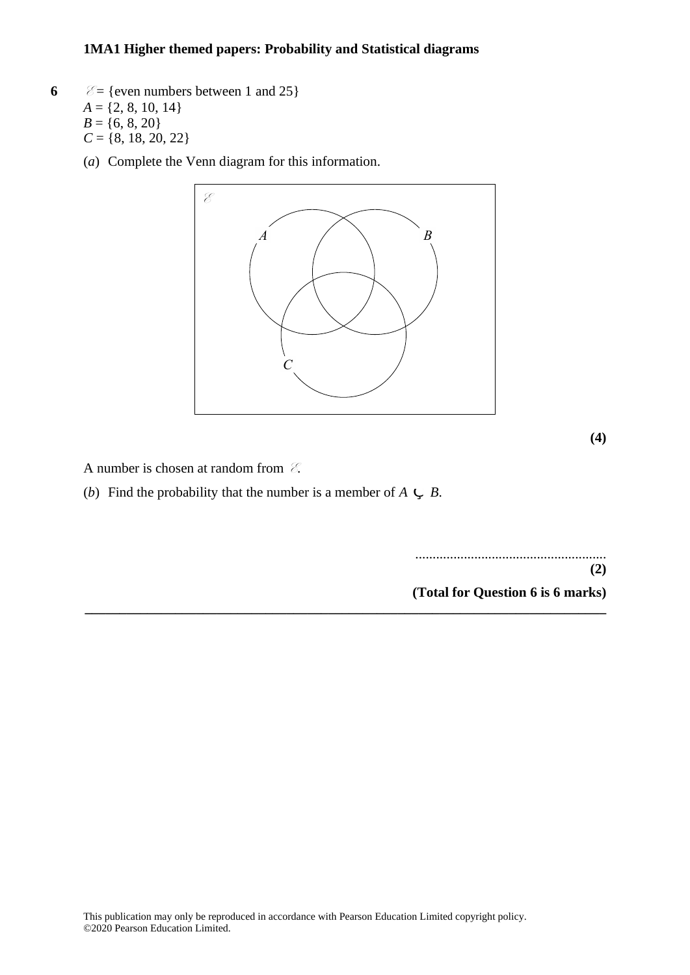- **6**  $\mathcal{E} = \{\text{even numbers between 1 and 25}\}\$  $A = \{2, 8, 10, 14\}$  $B = \{6, 8, 20\}$  $C = \{8, 18, 20, 22\}$ 
	- (*a*) Complete the Venn diagram for this information. (a) Complete the Venn diagram for this information.



**(4)**

A number is chosen at random from  $\mathcal{E}$ .

(*b*) Find the probability that the number is a member of  $A \subset B$ .

....................................................... **(Total for Question 20 is 6 marks)(2) (Total for Question 6 is 6 marks) \_\_\_\_\_\_\_\_\_\_\_\_\_\_\_\_\_\_\_\_\_\_\_\_\_\_\_\_\_\_\_\_\_\_\_\_\_\_\_\_\_\_\_\_\_\_\_\_\_\_\_\_\_\_\_\_\_\_\_\_\_\_\_\_\_\_\_\_\_\_\_\_\_\_\_**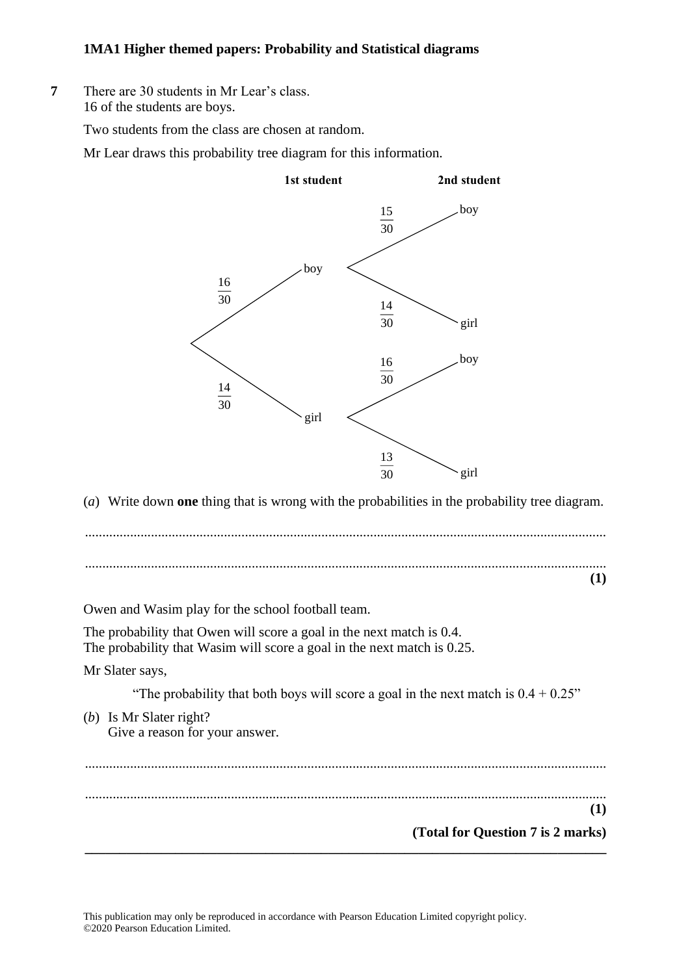**7** There are 30 students in Mr Lear's class. **12** There are 30 students in Mr Lear's class. 16 of the students are boys. 16 of the students are boys.

Two students from the class are chosen at random. Two students from the class are chosen at random.

Mr Lear draws this probability tree diagram for this information. Mr Lear draws this probability tree diagram for this information.



(*a*) Write down **one** thing that is wrong with the probabilities in the probability tree diagram. (a) Write down **one** thing that is wrong with the probabilities in the probability tree diagram.

...................................................................................................................................................... .................................................................................................................................................................................................................................................. . ...................................................................................................................................................... .................................................................................................................................................................................................................................................. . **(1)**

Owen and Wasim play for the school football team. Owen and Wasim play for the school football team.

The probability that Owen will score a goal in the next match is 0.4. The probability that Owen will score <sup>a</sup> goal in the next match is 0.4 The probability that Wasim will score a goal in the next match is 0.25.  $\epsilon$  probability that Owen will score a goal in the next match is 0.

Mr Slater says, Mr Slater says,

"The probability that both boys will score a goal in the next match is  $0.4 + 0.25$ "  $T$  that both boys will score a goal in the next match in the next match in the next match is 0.4  $\pm$ 

(*b*) Is Mr Slater right? (b) Is Mr Slater right? Give a reason for your answer.  $N$  is a real part  $\mu$ 

......................................................................................................................................................

...................................................................................................................................................... **(1) (1)**

**\_\_\_\_\_\_\_\_\_\_\_\_\_\_\_\_\_\_\_\_\_\_\_\_\_\_\_\_\_\_\_\_\_\_\_\_\_\_\_\_\_\_\_\_\_\_\_\_\_\_\_\_\_\_\_\_\_\_\_\_\_\_\_\_\_\_\_\_ <sup>12</sup> \_\_\_\_\_\_\_**

**(Total for Question 7 is 2 marks)**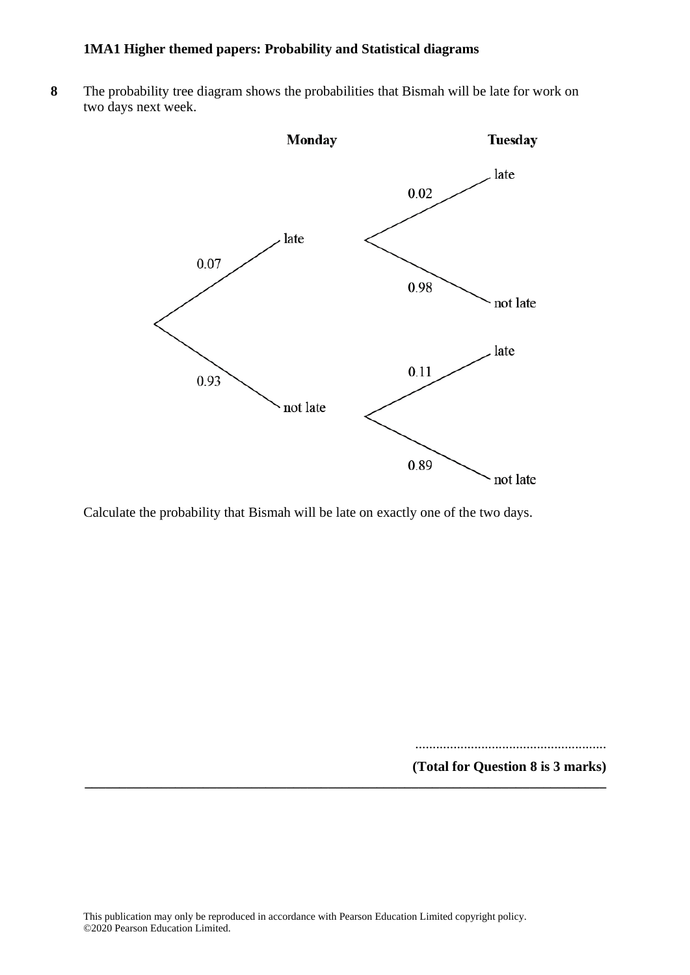**8** The probability tree diagram shows the probabilities that Bismah will be late for work on two days next week.



Calculate the probability that Bismah will be late on exactly one of the two days.

....................................................... **(Total for Question 8 is 3 marks)**

**\_\_\_\_\_\_\_\_\_\_\_\_\_\_\_\_\_\_\_\_\_\_\_\_\_\_\_\_\_\_\_\_\_\_\_\_\_\_\_\_\_\_\_\_\_\_\_\_\_\_\_\_\_\_\_\_\_\_\_\_\_\_\_\_\_\_\_\_\_\_\_\_\_\_\_**